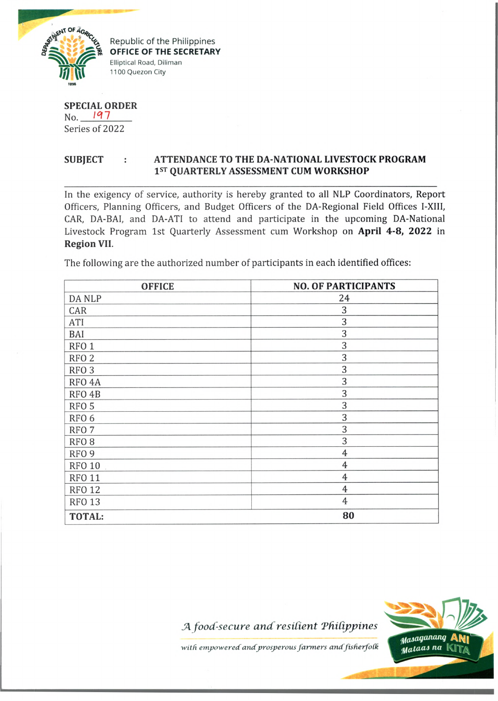

^ Republic of the Philippines *<u>OFFICE OF THE SECRETARY</u>* Elliptical Road, Diliman 1100 Quezon City

**SPECIAL ORDER** No. **197** Series of 2022

## **SUBJECT : ATTENDANCE TO THE DA-NATIONAL LIVESTOCK PROGRAM 1st QUARTERLY ASSESSMENT CUM WORKSHOP**

In the exigency of service, authority is hereby granted to all NLP Coordinators, Report Officers, Planning Officers, and Budget Officers of the DA-Regional Field Offices I-XIII, CAR, DA-BAI, and DA-ATI to attend and participate in the upcoming DA-National Livestock Program 1st Quarterly Assessment cum Workshop on **April 4-8, 2022** in **Region VII.**

The following are the authorized number of participants in each identified offices:

| <b>OFFICE</b>      | <b>NO. OF PARTICIPANTS</b> |
|--------------------|----------------------------|
| DA NLP             | 24                         |
| CAR                | 3                          |
| ATI                | 3                          |
| BAI                | 3                          |
| RFO <sub>1</sub>   | 3                          |
| RFO <sub>2</sub>   | 3                          |
| RFO <sub>3</sub>   | 3                          |
| RFO <sub>4</sub> A | 3                          |
| RFO <sub>4</sub> B | 3                          |
| RFO <sub>5</sub>   | 3                          |
| RFO <sub>6</sub>   | 3                          |
| RFO <sub>7</sub>   | 3                          |
| RFO <sub>8</sub>   | 3                          |
| RFO <sub>9</sub>   | $\overline{4}$             |
| <b>RFO 10</b>      | 4                          |
| <b>RFO 11</b>      | $\overline{4}$             |
| <b>RFO 12</b>      | $\overline{4}$             |
| <b>RFO 13</b>      | $\overline{4}$             |
| <b>TOTAL:</b>      | 80                         |

 $A$  *food-secure and resilient Philippines* 



*with empowered and prosperous farmers andfisfierfoCk*